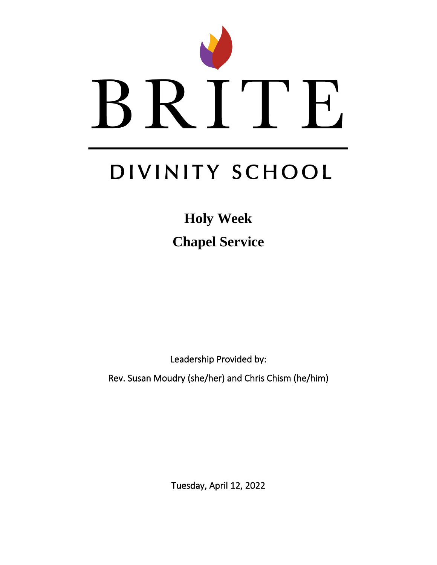

# DIVINITY SCHOOL

**Holy Week Chapel Service** 

Leadership Provided by:

Rev. Susan Moudry (she/her) and Chris Chism (he/him)

Tuesday, April 12, 2022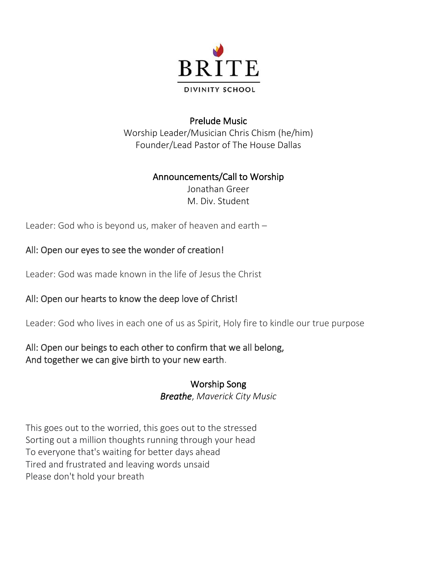

# Prelude Music

Worship Leader/Musician Chris Chism (he/him) Founder/Lead Pastor of The House Dallas

#### Announcements/Call to Worship

Jonathan Greer M. Div. Student

Leader: God who is beyond us, maker of heaven and earth –

# All: Open our eyes to see the wonder of creation!

Leader: God was made known in the life of Jesus the Christ

# All: Open our hearts to know the deep love of Christ!

Leader: God who lives in each one of us as Spirit, Holy fire to kindle our true purpose

# All: Open our beings to each other to confirm that we all belong, And together we can give birth to your new earth.

#### Worship Song

*Breathe*, *Maverick City Music*

This goes out to the worried, this goes out to the stressed Sorting out a million thoughts running through your head To everyone that's waiting for better days ahead Tired and frustrated and leaving words unsaid Please don't hold your breath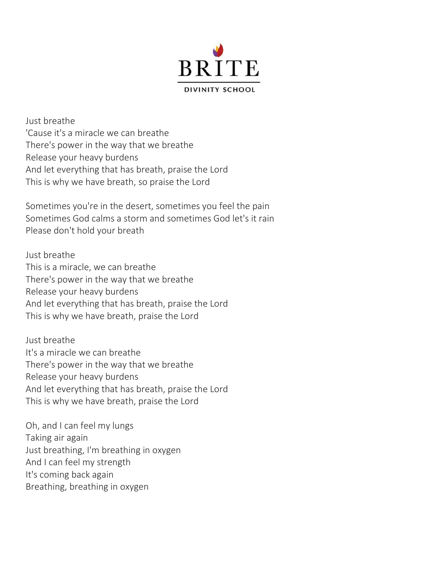

Just breathe 'Cause it's a miracle we can breathe There's power in the way that we breathe Release your heavy burdens And let everything that has breath, praise the Lord This is why we have breath, so praise the Lord

Sometimes you're in the desert, sometimes you feel the pain Sometimes God calms a storm and sometimes God let's it rain Please don't hold your breath

Just breathe This is a miracle, we can breathe There's power in the way that we breathe Release your heavy burdens And let everything that has breath, praise the Lord This is why we have breath, praise the Lord

Just breathe It's a miracle we can breathe There's power in the way that we breathe Release your heavy burdens And let everything that has breath, praise the Lord This is why we have breath, praise the Lord

Oh, and I can feel my lungs Taking air again Just breathing, I'm breathing in oxygen And I can feel my strength It's coming back again Breathing, breathing in oxygen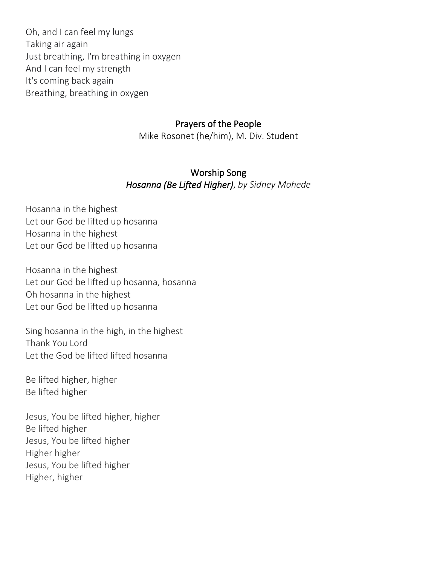Oh, and I can feel my lungs Taking air again Just breathing, I'm breathing in oxygen And I can feel my strength It's coming back again Breathing, breathing in oxygen

#### Prayers of the People

Mike Rosonet (he/him), M. Div. Student

# Worship Song *Hosanna (Be Lifted Higher)*, *by Sidney Mohede*

Hosanna in the highest Let our God be lifted up hosanna Hosanna in the highest Let our God be lifted up hosanna

Hosanna in the highest Let our God be lifted up hosanna, hosanna Oh hosanna in the highest Let our God be lifted up hosanna

Sing hosanna in the high, in the highest Thank You Lord Let the God be lifted lifted hosanna

Be lifted higher, higher Be lifted higher

Jesus, You be lifted higher, higher Be lifted higher Jesus, You be lifted higher Higher higher Jesus, You be lifted higher Higher, higher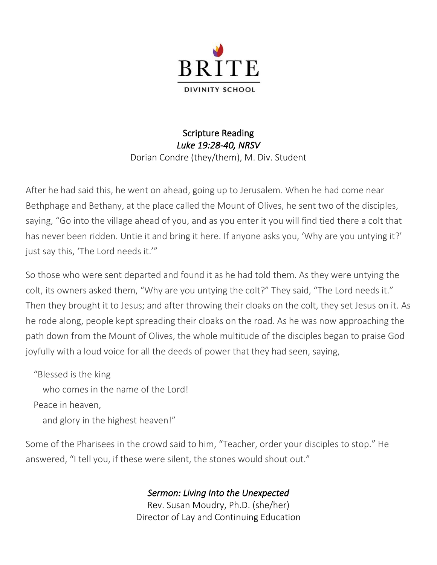

# Scripture Reading *Luke 19:28-40, NRSV*  Dorian Condre (they/them), M. Div. Student

After he had said this, he went on ahead, going up to Jerusalem. When he had come near Bethphage and Bethany, at the place called the Mount of Olives, he sent two of the disciples, saying, "Go into the village ahead of you, and as you enter it you will find tied there a colt that has never been ridden. Untie it and bring it here. If anyone asks you, 'Why are you untying it?' just say this, 'The Lord needs it.'"

So those who were sent departed and found it as he had told them. As they were untying the colt, its owners asked them, "Why are you untying the colt?" They said, "The Lord needs it." Then they brought it to Jesus; and after throwing their cloaks on the colt, they set Jesus on it. As he rode along, people kept spreading their cloaks on the road. As he was now approaching the path down from the Mount of Olives, the whole multitude of the disciples began to praise God joyfully with a loud voice for all the deeds of power that they had seen, saying,

"Blessed is the king who comes in the name of the Lord! Peace in heaven, and glory in the highest heaven!"

Some of the Pharisees in the crowd said to him, "Teacher, order your disciples to stop." He answered, "I tell you, if these were silent, the stones would shout out."

# *Sermon: Living Into the Unexpected*

Rev. Susan Moudry, Ph.D. (she/her) Director of Lay and Continuing Education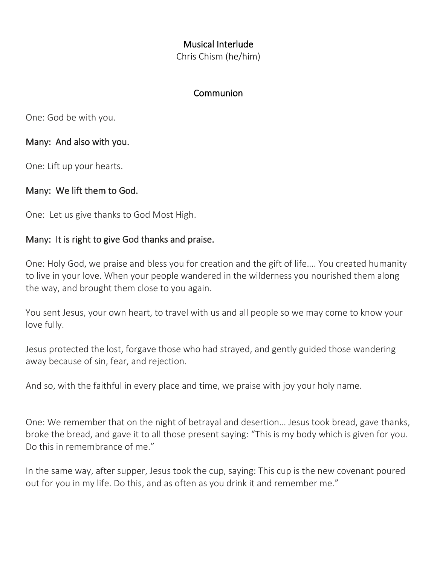# Musical Interlude

Chris Chism (he/him)

#### **Communion**

One: God be with you.

# Many: And also with you.

One: Lift up your hearts.

#### Many: We lift them to God.

One: Let us give thanks to God Most High.

#### Many: It is right to give God thanks and praise.

One: Holy God, we praise and bless you for creation and the gift of life…. You created humanity to live in your love. When your people wandered in the wilderness you nourished them along the way, and brought them close to you again.

You sent Jesus, your own heart, to travel with us and all people so we may come to know your love fully.

Jesus protected the lost, forgave those who had strayed, and gently guided those wandering away because of sin, fear, and rejection.

And so, with the faithful in every place and time, we praise with joy your holy name.

One: We remember that on the night of betrayal and desertion… Jesus took bread, gave thanks, broke the bread, and gave it to all those present saying: "This is my body which is given for you. Do this in remembrance of me."

In the same way, after supper, Jesus took the cup, saying: This cup is the new covenant poured out for you in my life. Do this, and as often as you drink it and remember me."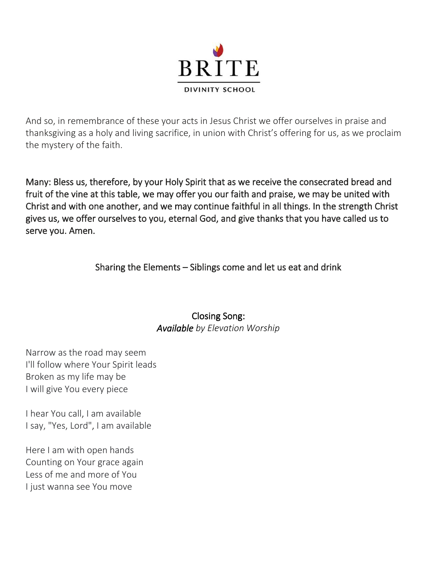

And so, in remembrance of these your acts in Jesus Christ we offer ourselves in praise and thanksgiving as a holy and living sacrifice, in union with Christ's offering for us, as we proclaim the mystery of the faith.

Many: Bless us, therefore, by your Holy Spirit that as we receive the consecrated bread and fruit of the vine at this table, we may offer you our faith and praise, we may be united with Christ and with one another, and we may continue faithful in all things. In the strength Christ gives us, we offer ourselves to you, eternal God, and give thanks that you have called us to serve you. Amen.

Sharing the Elements – Siblings come and let us eat and drink

Closing Song: *Available by Elevation Worship*

Narrow as the road may seem I'll follow where Your Spirit leads Broken as my life may be I will give You every piece

I hear You call, I am available I say, "Yes, Lord", I am available

Here I am with open hands Counting on Your grace again Less of me and more of You I just wanna see You move